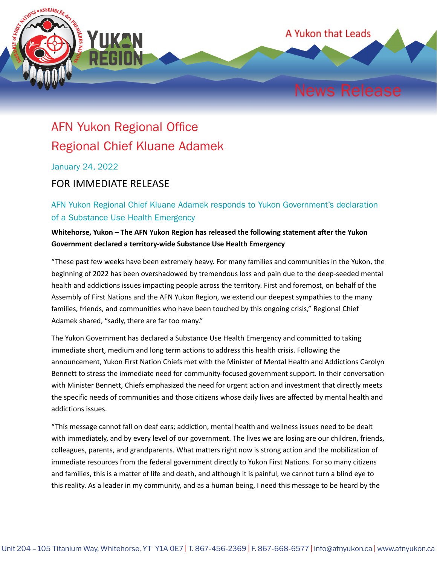

## AFN Yukon Regional Office Regional Chief Kluane Adamek

January 24, 2022

## FOR IMMEDIATE RELEASE

AFN Yukon Regional Chief Kluane Adamek responds to Yukon Government's declaration of a Substance Use Health Emergency

**Whitehorse, Yukon – The AFN Yukon Region has released the following statement after the Yukon Government declared a territory-wide Substance Use Health Emergency**

"These past few weeks have been extremely heavy. For many families and communities in the Yukon, the beginning of 2022 has been overshadowed by tremendous loss and pain due to the deep-seeded mental health and addictions issues impacting people across the territory. First and foremost, on behalf of the Assembly of First Nations and the AFN Yukon Region, we extend our deepest sympathies to the many families, friends, and communities who have been touched by this ongoing crisis," Regional Chief Adamek shared, "sadly, there are far too many."

The Yukon Government has declared a Substance Use Health Emergency and committed to taking immediate short, medium and long term actions to address this health crisis. Following the announcement, Yukon First Nation Chiefs met with the Minister of Mental Health and Addictions Carolyn Bennett to stress the immediate need for community-focused government support. In their conversation with Minister Bennett, Chiefs emphasized the need for urgent action and investment that directly meets the specific needs of communities and those citizens whose daily lives are affected by mental health and addictions issues.

"This message cannot fall on deaf ears; addiction, mental health and wellness issues need to be dealt with immediately, and by every level of our government. The lives we are losing are our children, friends, colleagues, parents, and grandparents. What matters right now is strong action and the mobilization of immediate resources from the federal government directly to Yukon First Nations. For so many citizens and families, this is a matter of life and death, and although it is painful, we cannot turn a blind eye to this reality. As a leader in my community, and as a human being, I need this message to be heard by the